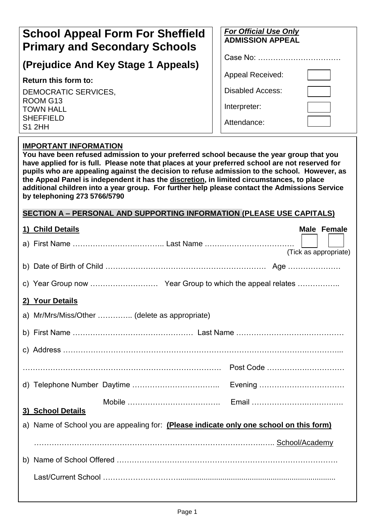| <b>School Appeal Form For Sheffield</b><br><b>Primary and Secondary Schools</b> | <b>For Official Use Only</b><br><b>ADMISSION APPEAL</b> |  |  |
|---------------------------------------------------------------------------------|---------------------------------------------------------|--|--|
| (Prejudice And Key Stage 1 Appeals)                                             | <b>Appeal Received:</b>                                 |  |  |
| Return this form to:                                                            |                                                         |  |  |
| DEMOCRATIC SERVICES,                                                            | <b>Disabled Access:</b>                                 |  |  |
| ROOM G13<br><b>TOWN HALL</b>                                                    | Interpreter:                                            |  |  |
| <b>SHEFFIELD</b><br><b>S1 2HH</b>                                               | Attendance:                                             |  |  |

## **IMPORTANT INFORMATION**

**You have been refused admission to your preferred school because the year group that you have applied for is full. Please note that places at your preferred school are not reserved for pupils who are appealing against the decision to refuse admission to the school. However, as the Appeal Panel is independent it has the discretion, in limited circumstances, to place additional children into a year group. For further help please contact the Admissions Service by telephoning 273 5766/5790**

## **SECTION A – PERSONAL AND SUPPORTING INFORMATION (PLEASE USE CAPITALS)**

| 1) Child Details                                                                        | <b>Male Female</b>    |
|-----------------------------------------------------------------------------------------|-----------------------|
|                                                                                         | (Tick as appropriate) |
|                                                                                         |                       |
|                                                                                         |                       |
| 2) Your Details                                                                         |                       |
| a) Mr/Mrs/Miss/Other  (delete as appropriate)                                           |                       |
|                                                                                         |                       |
|                                                                                         |                       |
|                                                                                         |                       |
|                                                                                         |                       |
| 3) School Details                                                                       |                       |
| a) Name of School you are appealing for: (Please indicate only one school on this form) |                       |
|                                                                                         |                       |
|                                                                                         |                       |
|                                                                                         |                       |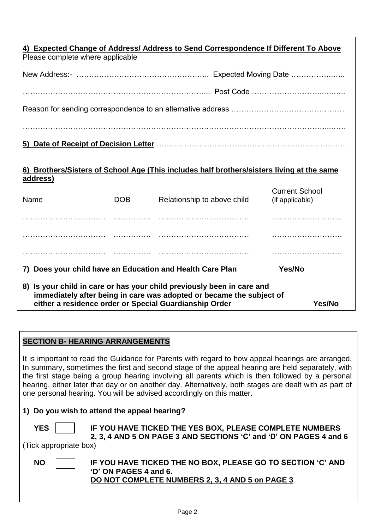| Please complete where applicable                                                                      |            | 4) Expected Change of Address/ Address to Send Correspondence If Different To Above                                                            |                                          |  |  |  |
|-------------------------------------------------------------------------------------------------------|------------|------------------------------------------------------------------------------------------------------------------------------------------------|------------------------------------------|--|--|--|
|                                                                                                       |            |                                                                                                                                                |                                          |  |  |  |
|                                                                                                       |            |                                                                                                                                                |                                          |  |  |  |
|                                                                                                       |            |                                                                                                                                                |                                          |  |  |  |
|                                                                                                       |            |                                                                                                                                                |                                          |  |  |  |
|                                                                                                       |            |                                                                                                                                                |                                          |  |  |  |
| 6) Brothers/Sisters of School Age (This includes half brothers/sisters living at the same<br>address) |            |                                                                                                                                                |                                          |  |  |  |
| Name                                                                                                  | <b>DOB</b> | Relationship to above child                                                                                                                    | <b>Current School</b><br>(if applicable) |  |  |  |
|                                                                                                       |            |                                                                                                                                                |                                          |  |  |  |
|                                                                                                       |            |                                                                                                                                                |                                          |  |  |  |
|                                                                                                       |            |                                                                                                                                                |                                          |  |  |  |
| 7) Does your child have an Education and Health Care Plan                                             |            |                                                                                                                                                | Yes/No                                   |  |  |  |
| either a residence order or Special Guardianship Order                                                |            | 8) Is your child in care or has your child previously been in care and<br>immediately after being in care was adopted or became the subject of | Yes/No                                   |  |  |  |

## **SECTION B- HEARING ARRANGEMENTS**

It is important to read the Guidance for Parents with regard to how appeal hearings are arranged. In summary, sometimes the first and second stage of the appeal hearing are held separately, with the first stage being a group hearing involving all parents which is then followed by a personal hearing, either later that day or on another day. Alternatively, both stages are dealt with as part of one personal hearing. You will be advised accordingly on this matter.

### **1) Do you wish to attend the appeal hearing?**

**YES IF YOU HAVE TICKED THE YES BOX, PLEASE COMPLETE NUMBERS 2, 3, 4 AND 5 ON PAGE 3 AND SECTIONS 'C' and 'D' ON PAGES 4 and 6**

(Tick appropriate box)

**NO IF YOU HAVE TICKED THE NO BOX, PLEASE GO TO SECTION 'C' AND 'D' ON PAGES 4 and 6. DO NOT COMPLETE NUMBERS 2, 3, 4 AND 5 on PAGE 3**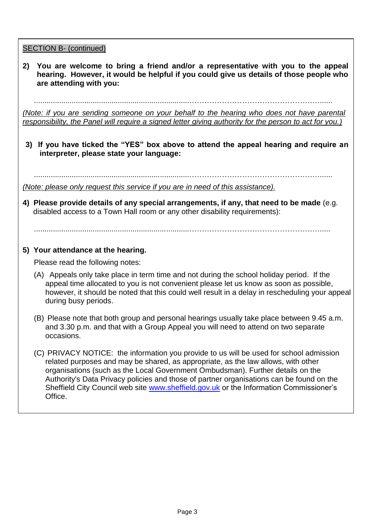SECTION B- (continued)

Office.

**2) You are welcome to bring a friend and/or a representative with you to the appeal hearing. However, it would be helpful if you could give us details of those people who are attending with you:** ..........................................................................………………………………………….…...... *(Note: if you are sending someone on your behalf to the hearing who does not have parental responsibility, the Panel will require a signed letter giving authority for the person to act for you.)* **3) If you have ticked the "YES" box above to attend the appeal hearing and require an interpreter, please state your language:** ..........................................................................………………………………………….…...... *(Note: please only request this service if you are in need of this assistance).* **4) Please provide details of any special arrangements, if any, that need to be made** (e.g. disabled access to a Town Hall room or any other disability requirements): ..........................................................................………………………………………….…..... **5) Your attendance at the hearing.** Please read the following notes: (A) Appeals only take place in term time and not during the school holiday period. If the appeal time allocated to you is not convenient please let us know as soon as possible, however, it should be noted that this could well result in a delay in rescheduling your appeal during busy periods. (B) Please note that both group and personal hearings usually take place between 9.45 a.m. and 3.30 p.m. and that with a Group Appeal you will need to attend on two separate occasions. (C) PRIVACY NOTICE: the information you provide to us will be used for school admission related purposes and may be shared, as appropriate, as the law allows, with other organisations (such as the Local Government Ombudsman). Further details on the Authority's Data Privacy policies and those of partner organisations can be found on the Sheffield City Council web site [www.sheffield.gov.uk](http://www.sheffield.gov.uk/) or the Information Commissioner's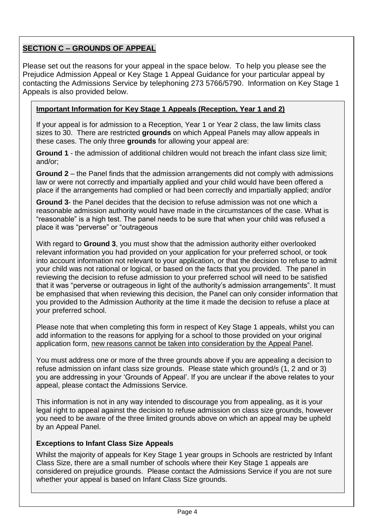## **SECTION C – GROUNDS OF APPEAL**

Please set out the reasons for your appeal in the space below. To help you please see the Prejudice Admission Appeal or Key Stage 1 Appeal Guidance for your particular appeal by contacting the Admissions Service by telephoning 273 5766/5790. Information on Key Stage 1 Appeals is also provided below.

## **Important Information for Key Stage 1 Appeals (Reception, Year 1 and 2)**

If your appeal is for admission to a Reception, Year 1 or Year 2 class, the law limits class sizes to 30. There are restricted **grounds** on which Appeal Panels may allow appeals in these cases. The only three **grounds** for allowing your appeal are:

**Ground 1** - the admission of additional children would not breach the infant class size limit; and/or;

**Ground 2** – the Panel finds that the admission arrangements did not comply with admissions law or were not correctly and impartially applied and your child would have been offered a place if the arrangements had complied or had been correctly and impartially applied; and/or

**Ground 3**- the Panel decides that the decision to refuse admission was not one which a reasonable admission authority would have made in the circumstances of the case. What is "reasonable" is a high test. The panel needs to be sure that when your child was refused a place it was "perverse" or "outrageous

With regard to **Ground 3**, you must show that the admission authority either overlooked relevant information you had provided on your application for your preferred school, or took into account information not relevant to your application, or that the decision to refuse to admit your child was not rational or logical, or based on the facts that you provided. The panel in reviewing the decision to refuse admission to your preferred school will need to be satisfied that it was "perverse or outrageous in light of the authority's admission arrangements". It must be emphasised that when reviewing this decision, the Panel can only consider information that you provided to the Admission Authority at the time it made the decision to refuse a place at your preferred school.

Please note that when completing this form in respect of Key Stage 1 appeals, whilst you can add information to the reasons for applying for a school to those provided on your original application form, new reasons cannot be taken into consideration by the Appeal Panel.

You must address one or more of the three grounds above if you are appealing a decision to refuse admission on infant class size grounds. Please state which ground/s (1, 2 and or 3) you are addressing in your 'Grounds of Appeal'. If you are unclear if the above relates to your appeal, please contact the Admissions Service.

This information is not in any way intended to discourage you from appealing, as it is your legal right to appeal against the decision to refuse admission on class size grounds, however you need to be aware of the three limited grounds above on which an appeal may be upheld by an Appeal Panel.

### **Exceptions to Infant Class Size Appeals**

Whilst the majority of appeals for Key Stage 1 year groups in Schools are restricted by Infant Class Size, there are a small number of schools where their Key Stage 1 appeals are considered on prejudice grounds. Please contact the Admissions Service if you are not sure whether your appeal is based on Infant Class Size grounds.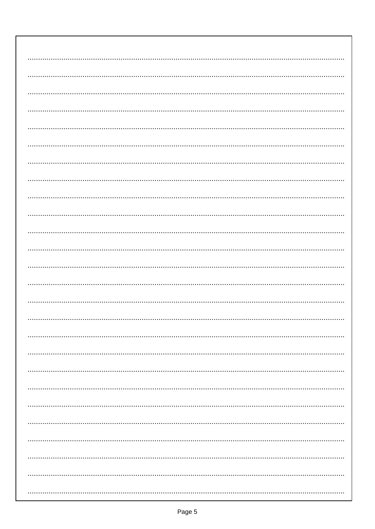| . |
|---|
|   |
|   |
|   |
|   |
|   |
|   |
|   |
|   |
|   |
|   |
|   |
|   |
|   |
|   |
|   |
|   |
|   |
|   |
|   |
|   |
|   |
|   |
|   |